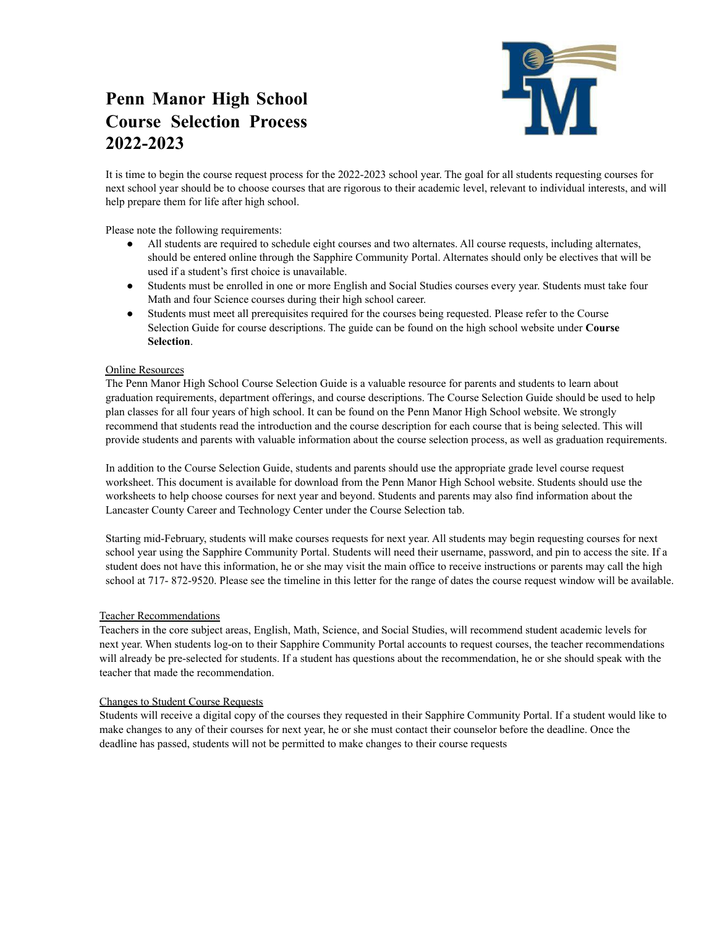## **Penn Manor High School Course Selection Process 2022-2023**



It is time to begin the course request process for the 2022-2023 school year. The goal for all students requesting courses for next school year should be to choose courses that are rigorous to their academic level, relevant to individual interests, and will help prepare them for life after high school.

Please note the following requirements:

- All students are required to schedule eight courses and two alternates. All course requests, including alternates, should be entered online through the Sapphire Community Portal. Alternates should only be electives that will be used if a student's first choice is unavailable.
- Students must be enrolled in one or more English and Social Studies courses every year. Students must take four Math and four Science courses during their high school career.
- Students must meet all prerequisites required for the courses being requested. Please refer to the Course Selection Guide for course descriptions. The guide can be found on the high school website under **Course Selection**.

## Online Resources

The Penn Manor High School Course Selection Guide is a valuable resource for parents and students to learn about graduation requirements, department offerings, and course descriptions. The Course Selection Guide should be used to help plan classes for all four years of high school. It can be found on the Penn Manor High School website. We strongly recommend that students read the introduction and the course description for each course that is being selected. This will provide students and parents with valuable information about the course selection process, as well as graduation requirements.

In addition to the Course Selection Guide, students and parents should use the appropriate grade level course request worksheet. This document is available for download from the Penn Manor High School website. Students should use the worksheets to help choose courses for next year and beyond. Students and parents may also find information about the Lancaster County Career and Technology Center under the Course Selection tab.

Starting mid-February, students will make courses requests for next year. All students may begin requesting courses for next school year using the Sapphire Community Portal. Students will need their username, password, and pin to access the site. If a student does not have this information, he or she may visit the main office to receive instructions or parents may call the high school at 717- 872-9520. Please see the timeline in this letter for the range of dates the course request window will be available.

## Teacher Recommendations

Teachers in the core subject areas, English, Math, Science, and Social Studies, will recommend student academic levels for next year. When students log-on to their Sapphire Community Portal accounts to request courses, the teacher recommendations will already be pre-selected for students. If a student has questions about the recommendation, he or she should speak with the teacher that made the recommendation.

## Changes to Student Course Requests

Students will receive a digital copy of the courses they requested in their Sapphire Community Portal. If a student would like to make changes to any of their courses for next year, he or she must contact their counselor before the deadline. Once the deadline has passed, students will not be permitted to make changes to their course requests